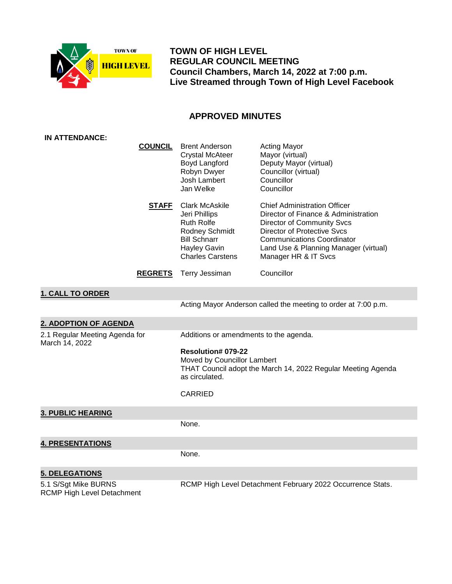

 **TOWN OF HIGH LEVEL REGULAR COUNCIL MEETING Council Chambers, March 14, 2022 at 7:00 p.m. Live Streamed through Town of High Level Facebook**

# **APPROVED MINUTES**

| <b>IN ATTENDANCE:</b>                              |                |                                                                                                                                                       |                                                                                                                                                                                                                                                              |  |
|----------------------------------------------------|----------------|-------------------------------------------------------------------------------------------------------------------------------------------------------|--------------------------------------------------------------------------------------------------------------------------------------------------------------------------------------------------------------------------------------------------------------|--|
|                                                    | <b>COUNCIL</b> | <b>Brent Anderson</b><br><b>Crystal McAteer</b><br>Boyd Langford<br>Robyn Dwyer<br>Josh Lambert<br>Jan Welke                                          | <b>Acting Mayor</b><br>Mayor (virtual)<br>Deputy Mayor (virtual)<br>Councillor (virtual)<br>Councillor<br>Councillor                                                                                                                                         |  |
|                                                    | <u>STAFF</u>   | <b>Clark McAskile</b><br>Jeri Phillips<br>Ruth Rolfe<br>Rodney Schmidt<br><b>Bill Schnarr</b><br><b>Hayley Gavin</b><br><b>Charles Carstens</b>       | <b>Chief Administration Officer</b><br>Director of Finance & Administration<br><b>Director of Community Svcs</b><br><b>Director of Protective Svcs</b><br><b>Communications Coordinator</b><br>Land Use & Planning Manager (virtual)<br>Manager HR & IT Svcs |  |
|                                                    | <b>REGRETS</b> | Terry Jessiman                                                                                                                                        | Councillor                                                                                                                                                                                                                                                   |  |
| <b>1. CALL TO ORDER</b>                            |                |                                                                                                                                                       |                                                                                                                                                                                                                                                              |  |
|                                                    |                |                                                                                                                                                       | Acting Mayor Anderson called the meeting to order at 7:00 p.m.                                                                                                                                                                                               |  |
| 2. ADOPTION OF AGENDA                              |                |                                                                                                                                                       |                                                                                                                                                                                                                                                              |  |
| 2.1 Regular Meeting Agenda for                     |                | Additions or amendments to the agenda.                                                                                                                |                                                                                                                                                                                                                                                              |  |
| March 14, 2022                                     |                | Resolution# 079-22<br>Moved by Councillor Lambert<br>THAT Council adopt the March 14, 2022 Regular Meeting Agenda<br>as circulated.<br><b>CARRIED</b> |                                                                                                                                                                                                                                                              |  |
| <b>3. PUBLIC HEARING</b>                           |                |                                                                                                                                                       |                                                                                                                                                                                                                                                              |  |
|                                                    |                | None.                                                                                                                                                 |                                                                                                                                                                                                                                                              |  |
| <b>4. PRESENTATIONS</b>                            |                |                                                                                                                                                       |                                                                                                                                                                                                                                                              |  |
|                                                    |                | None.                                                                                                                                                 |                                                                                                                                                                                                                                                              |  |
| <b>5. DELEGATIONS</b>                              |                |                                                                                                                                                       |                                                                                                                                                                                                                                                              |  |
| 5.1 S/Sgt Mike BURNS<br>RCMP High Level Detachment |                | RCMP High Level Detachment February 2022 Occurrence Stats.                                                                                            |                                                                                                                                                                                                                                                              |  |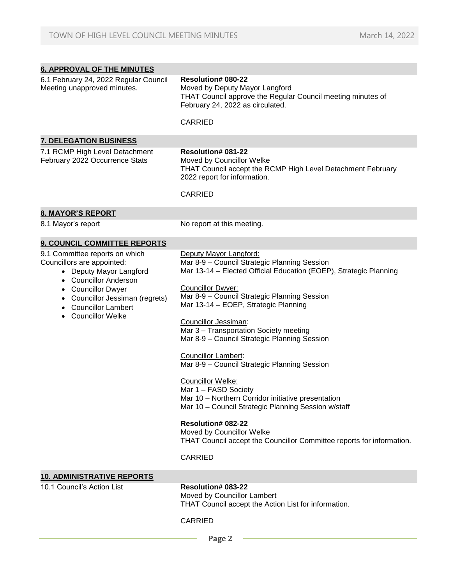| <b>6. APPROVAL OF THE MINUTES</b>                                                                                                                                                                                                         |                                                                                                                                                                                                                                                                                                                                                                                                                                                                                                                                                                                                                                                                                                                                                                                |  |  |
|-------------------------------------------------------------------------------------------------------------------------------------------------------------------------------------------------------------------------------------------|--------------------------------------------------------------------------------------------------------------------------------------------------------------------------------------------------------------------------------------------------------------------------------------------------------------------------------------------------------------------------------------------------------------------------------------------------------------------------------------------------------------------------------------------------------------------------------------------------------------------------------------------------------------------------------------------------------------------------------------------------------------------------------|--|--|
| 6.1 February 24, 2022 Regular Council<br>Meeting unapproved minutes.                                                                                                                                                                      | <b>Resolution# 080-22</b><br>Moved by Deputy Mayor Langford<br>THAT Council approve the Regular Council meeting minutes of<br>February 24, 2022 as circulated.                                                                                                                                                                                                                                                                                                                                                                                                                                                                                                                                                                                                                 |  |  |
|                                                                                                                                                                                                                                           | <b>CARRIED</b>                                                                                                                                                                                                                                                                                                                                                                                                                                                                                                                                                                                                                                                                                                                                                                 |  |  |
| <b>7. DELEGATION BUSINESS</b>                                                                                                                                                                                                             |                                                                                                                                                                                                                                                                                                                                                                                                                                                                                                                                                                                                                                                                                                                                                                                |  |  |
| 7.1 RCMP High Level Detachment<br>February 2022 Occurrence Stats                                                                                                                                                                          | <b>Resolution# 081-22</b><br>Moved by Councillor Welke<br>THAT Council accept the RCMP High Level Detachment February<br>2022 report for information.                                                                                                                                                                                                                                                                                                                                                                                                                                                                                                                                                                                                                          |  |  |
|                                                                                                                                                                                                                                           | <b>CARRIED</b>                                                                                                                                                                                                                                                                                                                                                                                                                                                                                                                                                                                                                                                                                                                                                                 |  |  |
| <b>8. MAYOR'S REPORT</b>                                                                                                                                                                                                                  |                                                                                                                                                                                                                                                                                                                                                                                                                                                                                                                                                                                                                                                                                                                                                                                |  |  |
| 8.1 Mayor's report                                                                                                                                                                                                                        | No report at this meeting.                                                                                                                                                                                                                                                                                                                                                                                                                                                                                                                                                                                                                                                                                                                                                     |  |  |
| 9. COUNCIL COMMITTEE REPORTS                                                                                                                                                                                                              |                                                                                                                                                                                                                                                                                                                                                                                                                                                                                                                                                                                                                                                                                                                                                                                |  |  |
| 9.1 Committee reports on which<br>Councillors are appointed:<br>• Deputy Mayor Langford<br><b>Councillor Anderson</b><br><b>Councillor Dwyer</b><br>Councillor Jessiman (regrets)<br><b>Councillor Lambert</b><br><b>Councillor Welke</b> | Deputy Mayor Langford:<br>Mar 8-9 - Council Strategic Planning Session<br>Mar 13-14 - Elected Official Education (EOEP), Strategic Planning<br><b>Councillor Dwyer:</b><br>Mar 8-9 - Council Strategic Planning Session<br>Mar 13-14 - EOEP, Strategic Planning<br>Councillor Jessiman:<br>Mar 3 - Transportation Society meeting<br>Mar 8-9 - Council Strategic Planning Session<br><b>Councillor Lambert:</b><br>Mar 8-9 - Council Strategic Planning Session<br>Councillor Welke:<br>Mar 1 - FASD Society<br>Mar 10 - Northern Corridor initiative presentation<br>Mar 10 - Council Strategic Planning Session w/staff<br><b>Resolution# 082-22</b><br>Moved by Councillor Welke<br>THAT Council accept the Councillor Committee reports for information.<br><b>CARRIED</b> |  |  |
| <b>10. ADMINISTRATIVE REPORTS</b>                                                                                                                                                                                                         |                                                                                                                                                                                                                                                                                                                                                                                                                                                                                                                                                                                                                                                                                                                                                                                |  |  |
| 10.1 Council's Action List                                                                                                                                                                                                                | <b>Resolution# 083-22</b><br>Moved by Councillor Lambert<br>THAT Council accept the Action List for information.                                                                                                                                                                                                                                                                                                                                                                                                                                                                                                                                                                                                                                                               |  |  |
|                                                                                                                                                                                                                                           | <b>CARRIED</b>                                                                                                                                                                                                                                                                                                                                                                                                                                                                                                                                                                                                                                                                                                                                                                 |  |  |
|                                                                                                                                                                                                                                           | Page 2                                                                                                                                                                                                                                                                                                                                                                                                                                                                                                                                                                                                                                                                                                                                                                         |  |  |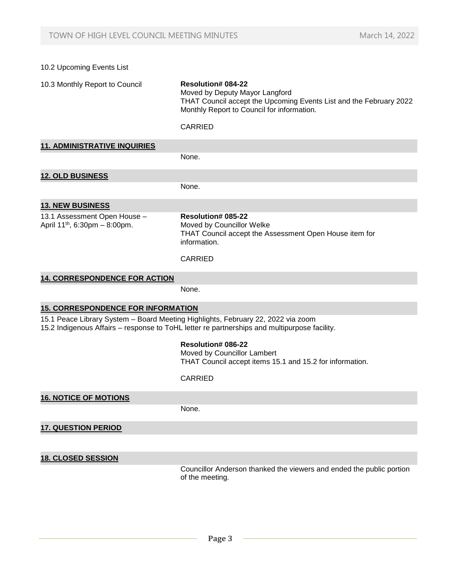# 10.2 Upcoming Events List 10.3 Monthly Report to Council **Resolution# 084-22** Moved by Deputy Mayor Langford THAT Council accept the Upcoming Events List and the February 2022 Monthly Report to Council for information. CARRIED **11. ADMINISTRATIVE INQUIRIES** None. **12. OLD BUSINESS** None. **13. NEW BUSINESS** 13.1 Assessment Open House – April 11th, 6:30pm – 8:00pm. **Resolution# 085-22** Moved by Councillor Welke THAT Council accept the Assessment Open House item for information. CARRIED **14. CORRESPONDENCE FOR ACTION** None.  **15. CORRESPONDENCE FOR INFORMATION** 15.1 Peace Library System – Board Meeting Highlights, February 22, 2022 via zoom 15.2 Indigenous Affairs – response to ToHL letter re partnerships and multipurpose facility. **Resolution# 086-22** Moved by Councillor Lambert THAT Council accept items 15.1 and 15.2 for information. CARRIED **16. NOTICE OF MOTIONS** None. **17. QUESTION PERIOD 18. CLOSED SESSION** Councillor Anderson thanked the viewers and ended the public portion of the meeting.